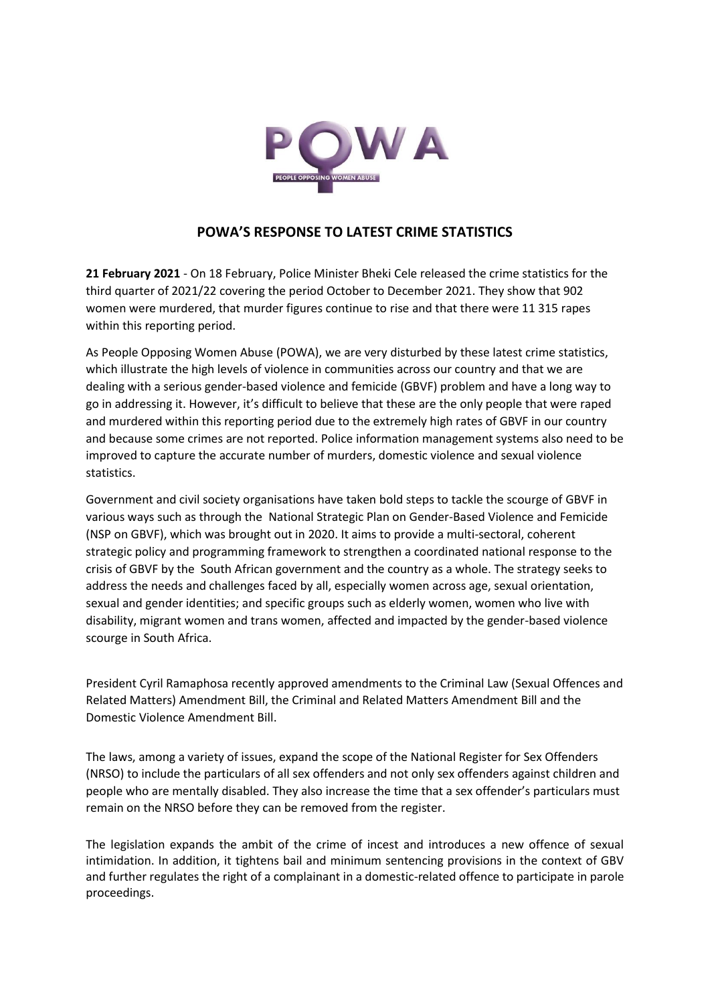

## **POWA'S RESPONSE TO LATEST CRIME STATISTICS**

**21 February 2021** - On 18 February, Police Minister Bheki Cele released the crime statistics for the third quarter of 2021/22 covering the period October to December 2021. They show that 902 women were murdered, that murder figures continue to rise and that there were 11 315 rapes within this reporting period.

As People Opposing Women Abuse (POWA), we are very disturbed by these latest crime statistics, which illustrate the high levels of violence in communities across our country and that we are dealing with a serious gender-based violence and femicide (GBVF) problem and have a long way to go in addressing it. However, it's difficult to believe that these are the only people that were raped and murdered within this reporting period due to the extremely high rates of GBVF in our country and because some crimes are not reported. Police information management systems also need to be improved to capture the accurate number of murders, domestic violence and sexual violence statistics.

Government and civil society organisations have taken bold steps to tackle the scourge of GBVF in various ways such as through the National Strategic Plan on Gender-Based Violence and Femicide (NSP on GBVF), which was brought out in 2020. It aims to provide a multi-sectoral, coherent strategic policy and programming framework to strengthen a coordinated national response to the crisis of GBVF by the South African government and the country as a whole. The strategy seeks to address the needs and challenges faced by all, especially women across age, sexual orientation, sexual and gender identities; and specific groups such as elderly women, women who live with disability, migrant women and trans women, affected and impacted by the gender-based violence scourge in South Africa.

President Cyril Ramaphosa recently approved amendments to the Criminal Law (Sexual Offences and Related Matters) Amendment Bill, the Criminal and Related Matters Amendment Bill and the Domestic Violence Amendment Bill.

The laws, among a variety of issues, expand the scope of the National Register for Sex Offenders (NRSO) to include the particulars of all sex offenders and not only sex offenders against children and people who are mentally disabled. They also increase the time that a sex offender's particulars must remain on the NRSO before they can be removed from the register.

The legislation expands the ambit of the crime of incest and introduces a new offence of sexual intimidation. In addition, it tightens bail and minimum sentencing provisions in the context of GBV and further regulates the right of a complainant in a domestic-related offence to participate in parole proceedings.